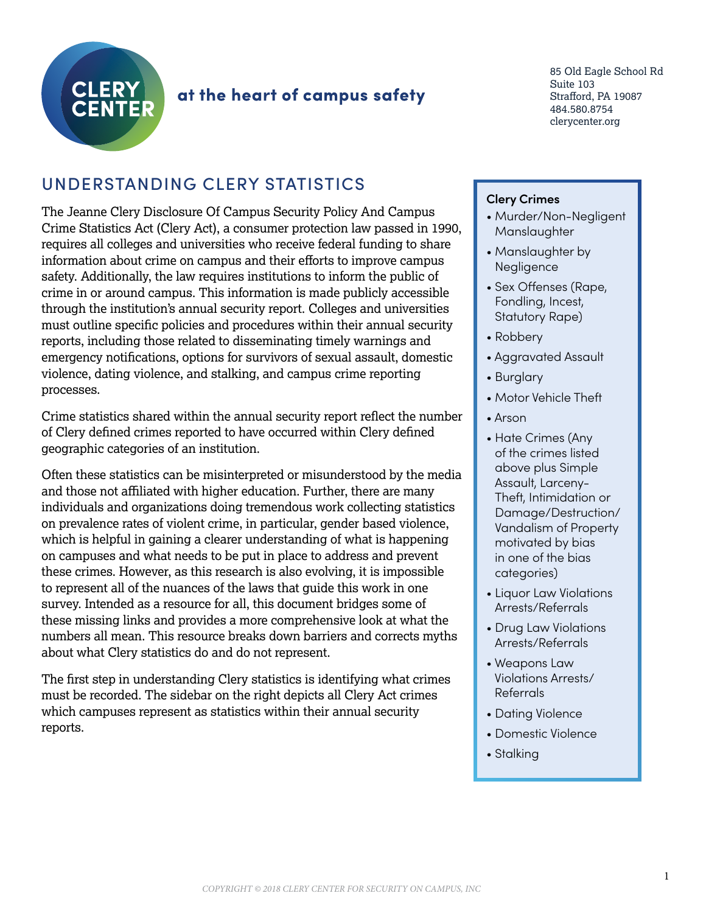

# at the heart of campus safety

85 Old Eagle School Rd Suite 103 Strafford, PA 19087 484.580.8754 clerycenter.org

# UNDERSTANDING CLERY STATISTICS

The Jeanne Clery Disclosure Of Campus Security Policy And Campus Crime Statistics Act (Clery Act), a consumer protection law passed in 1990, requires all colleges and universities who receive federal funding to share information about crime on campus and their efforts to improve campus safety. Additionally, the law requires institutions to inform the public of crime in or around campus. This information is made publicly accessible through the institution's annual security report. Colleges and universities must outline specific policies and procedures within their annual security reports, including those related to disseminating timely warnings and emergency notifications, options for survivors of sexual assault, domestic violence, dating violence, and stalking, and campus crime reporting processes.

Crime statistics shared within the annual security report reflect the number of Clery defined crimes reported to have occurred within Clery defined geographic categories of an institution.

Often these statistics can be misinterpreted or misunderstood by the media and those not affiliated with higher education. Further, there are many individuals and organizations doing tremendous work collecting statistics on prevalence rates of violent crime, in particular, gender based violence, which is helpful in gaining a clearer understanding of what is happening on campuses and what needs to be put in place to address and prevent these crimes. However, as this research is also evolving, it is impossible to represent all of the nuances of the laws that guide this work in one survey. Intended as a resource for all, this document bridges some of these missing links and provides a more comprehensive look at what the numbers all mean. This resource breaks down barriers and corrects myths about what Clery statistics do and do not represent.

The first step in understanding Clery statistics is identifying what crimes must be recorded. The sidebar on the right depicts all Clery Act crimes which campuses represent as statistics within their annual security reports.

## **Clery Crimes**

- Murder/Non-Negligent **Manslaughter**
- Manslaughter by Negligence
- Sex Offenses (Rape, Fondling, Incest, Statutory Rape)
- Robbery
- Aggravated Assault
- Burglary
- Motor Vehicle Theft
- Arson
- Hate Crimes (Any of the crimes listed above plus Simple Assault, Larceny-Theft, Intimidation or Damage/Destruction/ Vandalism of Property motivated by bias in one of the bias categories)
- Liquor Law Violations Arrests/Referrals
- Drug Law Violations Arrests/Referrals
- Weapons Law Violations Arrests/ Referrals
- Dating Violence
- Domestic Violence
- Stalking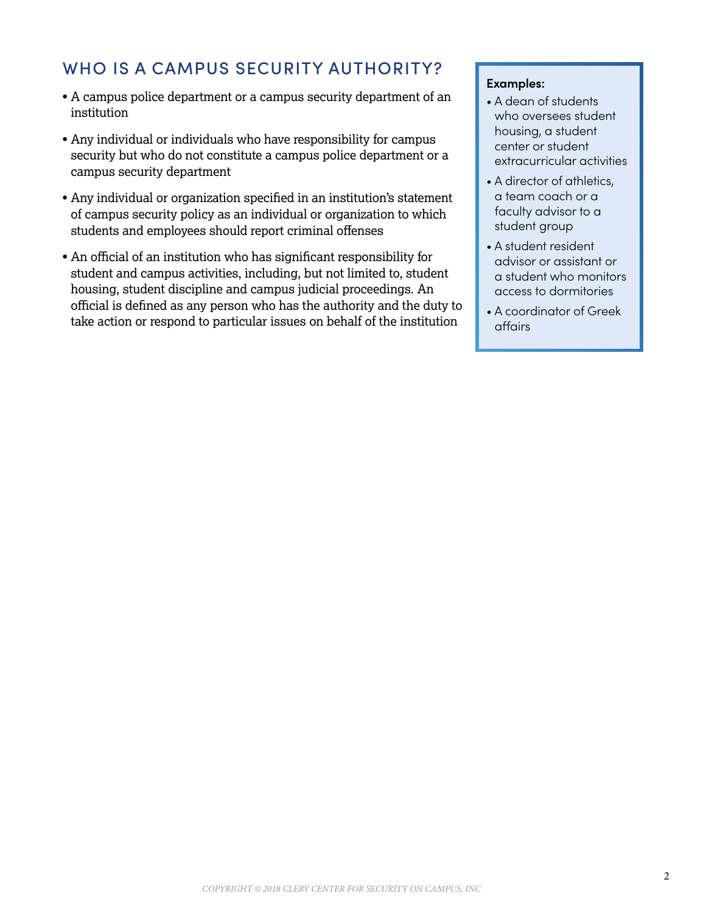# WHO IS A CAMPUS SECURITY AUTHORITY?

- A campus police department or a campus security department of an institution
- Any individual or individuals who have responsibility for campus security but who do not constitute a campus police department or a campus security department
- Any individual or organization specified in an institution's statement of campus security policy as an individual or organization to which students and employees should report criminal offenses
- An official of an institution who has significant responsibility for student and campus activities, including, but not limited to, student housing, student discipline and campus judicial proceedings. An official is defined as any person who has the authority and the duty to take action or respond to particular issues on behalf of the institution

#### **Examples:**

- A dean of students who oversees student housing, a student center or student extracurricular activities
- A director of athletics, a team coach or a faculty advisor to a student group
- A student resident advisor or assistant or a student who monitors access to dormitories
- A coordinator of Greek affairs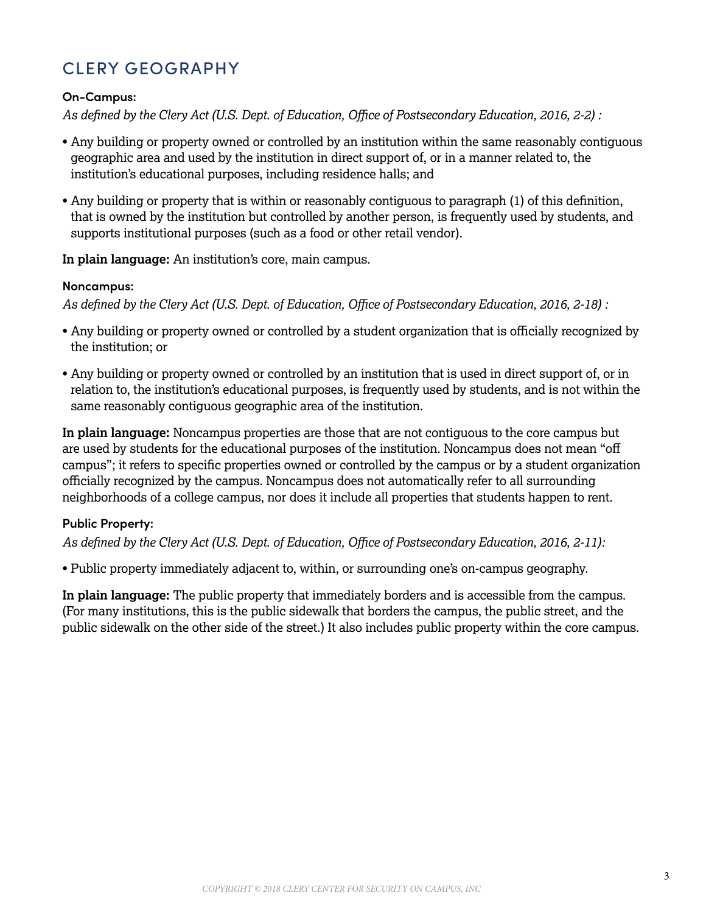# CLERY GEOGRAPHY

## **On-Campus:**

*As defined by the Clery Act (U.S. Dept. of Education, Office of Postsecondary Education, 2016, 2-2) :*

- Any building or property owned or controlled by an institution within the same reasonably contiguous geographic area and used by the institution in direct support of, or in a manner related to, the institution's educational purposes, including residence halls; and
- Any building or property that is within or reasonably contiguous to paragraph (1) of this definition, that is owned by the institution but controlled by another person, is frequently used by students, and supports institutional purposes (such as a food or other retail vendor).

**In plain language:** An institution's core, main campus.

## **Noncampus:**

*As defined by the Clery Act (U.S. Dept. of Education, Office of Postsecondary Education, 2016, 2-18) :*

- Any building or property owned or controlled by a student organization that is officially recognized by the institution; or
- Any building or property owned or controlled by an institution that is used in direct support of, or in relation to, the institution's educational purposes, is frequently used by students, and is not within the same reasonably contiguous geographic area of the institution.

**In plain language:** Noncampus properties are those that are not contiguous to the core campus but are used by students for the educational purposes of the institution. Noncampus does not mean "off campus"; it refers to specific properties owned or controlled by the campus or by a student organization officially recognized by the campus. Noncampus does not automatically refer to all surrounding neighborhoods of a college campus, nor does it include all properties that students happen to rent.

## **Public Property:**

*As defined by the Clery Act (U.S. Dept. of Education, Office of Postsecondary Education, 2016, 2-11):*

• Public property immediately adjacent to, within, or surrounding one's on-campus geography.

**In plain language:** The public property that immediately borders and is accessible from the campus. (For many institutions, this is the public sidewalk that borders the campus, the public street, and the public sidewalk on the other side of the street.) It also includes public property within the core campus.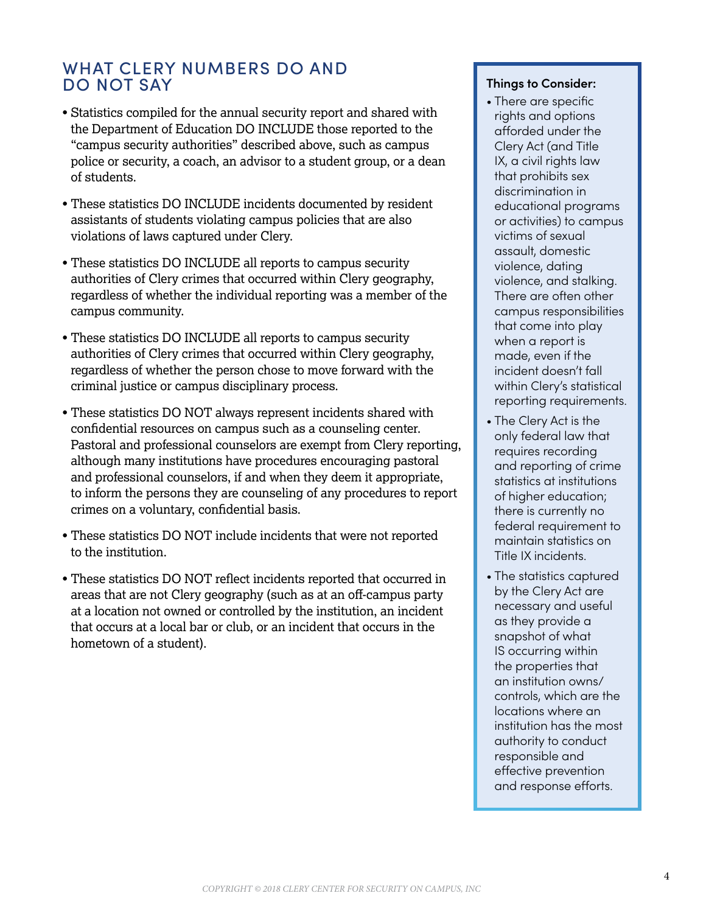## WHAT CLERY NUMBERS DO AND DO NOT SAY

- Statistics compiled for the annual security report and shared with the Department of Education DO INCLUDE those reported to the "campus security authorities" described above, such as campus police or security, a coach, an advisor to a student group, or a dean of students.
- These statistics DO INCLUDE incidents documented by resident assistants of students violating campus policies that are also violations of laws captured under Clery.
- These statistics DO INCLUDE all reports to campus security authorities of Clery crimes that occurred within Clery geography, regardless of whether the individual reporting was a member of the campus community.
- These statistics DO INCLUDE all reports to campus security authorities of Clery crimes that occurred within Clery geography, regardless of whether the person chose to move forward with the criminal justice or campus disciplinary process.
- These statistics DO NOT always represent incidents shared with confidential resources on campus such as a counseling center. Pastoral and professional counselors are exempt from Clery reporting, although many institutions have procedures encouraging pastoral and professional counselors, if and when they deem it appropriate, to inform the persons they are counseling of any procedures to report crimes on a voluntary, confidential basis.
- These statistics DO NOT include incidents that were not reported to the institution.
- These statistics DO NOT reflect incidents reported that occurred in areas that are not Clery geography (such as at an off-campus party at a location not owned or controlled by the institution, an incident that occurs at a local bar or club, or an incident that occurs in the hometown of a student).

#### **Things to Consider:**

- There are specific rights and options afforded under the Clery Act (and Title IX, a civil rights law that prohibits sex discrimination in educational programs or activities) to campus victims of sexual assault, domestic violence, dating violence, and stalking. There are often other campus responsibilities that come into play when a report is made, even if the incident doesn't fall within Clery's statistical reporting requirements.
- The Clery Act is the only federal law that requires recording and reporting of crime statistics at institutions of higher education; there is currently no federal requirement to maintain statistics on Title IX incidents.
- The statistics captured by the Clery Act are necessary and useful as they provide a snapshot of what IS occurring within the properties that an institution owns/ controls, which are the locations where an institution has the most authority to conduct responsible and effective prevention and response efforts.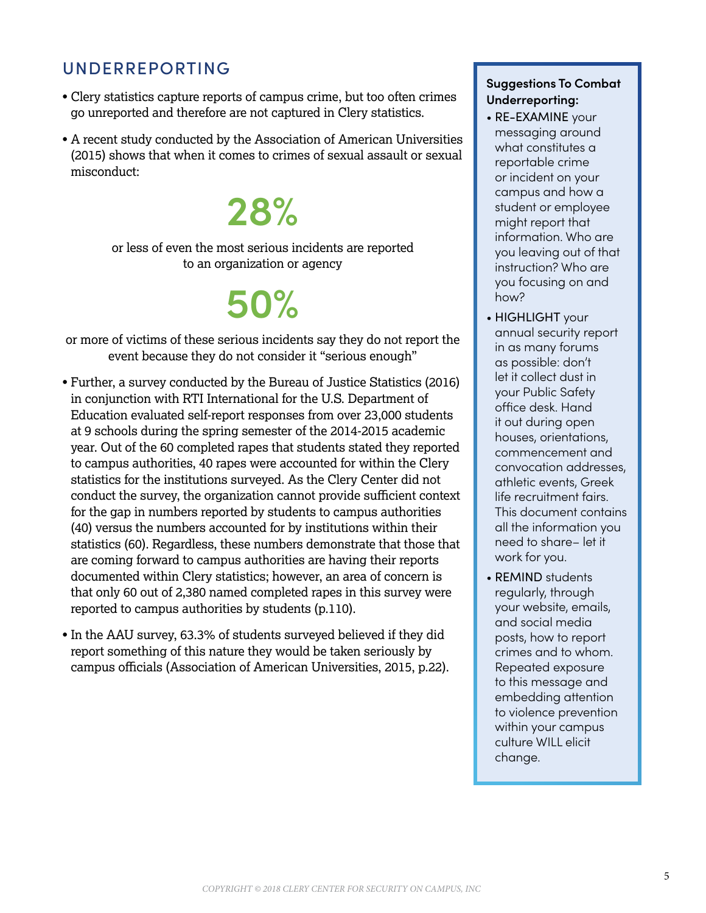## UNDERREPORTING

- Clery statistics capture reports of campus crime, but too often crimes go unreported and therefore are not captured in Clery statistics.
- A recent study conducted by the Association of American Universities (2015) shows that when it comes to crimes of sexual assault or sexual misconduct:

# **28%**

or less of even the most serious incidents are reported to an organization or agency

# **50%**

or more of victims of these serious incidents say they do not report the event because they do not consider it "serious enough"

- Further, a survey conducted by the Bureau of Justice Statistics (2016) in conjunction with RTI International for the U.S. Department of Education evaluated self-report responses from over 23,000 students at 9 schools during the spring semester of the 2014-2015 academic year. Out of the 60 completed rapes that students stated they reported to campus authorities, 40 rapes were accounted for within the Clery statistics for the institutions surveyed. As the Clery Center did not conduct the survey, the organization cannot provide sufficient context for the gap in numbers reported by students to campus authorities (40) versus the numbers accounted for by institutions within their statistics (60). Regardless, these numbers demonstrate that those that are coming forward to campus authorities are having their reports documented within Clery statistics; however, an area of concern is that only 60 out of 2,380 named completed rapes in this survey were reported to campus authorities by students (p.110).
- In the AAU survey, 63.3% of students surveyed believed if they did report something of this nature they would be taken seriously by campus officials (Association of American Universities, 2015, p.22).

## **Suggestions To Combat Underreporting:**

- RE-EXAMINE your messaging around what constitutes a reportable crime or incident on your campus and how a student or employee might report that information. Who are you leaving out of that instruction? Who are you focusing on and how?
- HIGHLIGHT your annual security report in as many forums as possible: don't let it collect dust in your Public Safety office desk. Hand it out during open houses, orientations, commencement and convocation addresses, athletic events, Greek life recruitment fairs. This document contains all the information you need to share– let it work for you.
- REMIND students regularly, through your website, emails, and social media posts, how to report crimes and to whom. Repeated exposure to this message and embedding attention to violence prevention within your campus culture WILL elicit change.